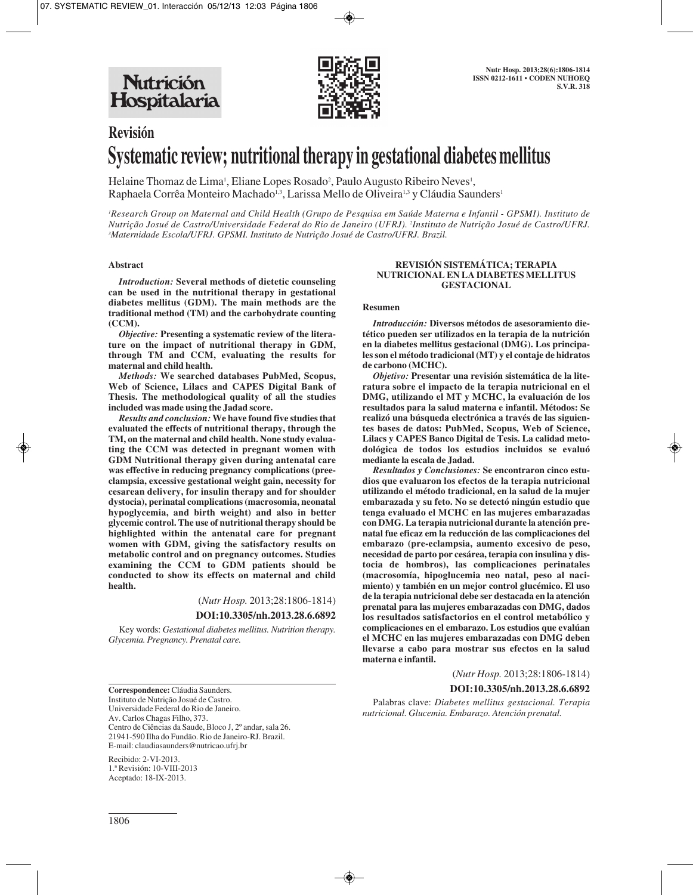**Nutrición** Hospitalaria



# **Revisión Systematic review; nutritional therapy in gestational diabetes mellitus**

Helaine Thomaz de Lima<sup>1</sup>, Eliane Lopes Rosado<sup>2</sup>, Paulo Augusto Ribeiro Neves<sup>1</sup>, Raphaela Corrêa Monteiro Machado<sup>1,3</sup>, Larissa Mello de Oliveira<sup>1,3</sup> y Cláudia Saunders<sup>1</sup>

*1 Research Group on Maternal and Child Health (Grupo de Pesquisa em Saúde Materna e Infantil - GPSMI). Instituto de Nutrição Josué de Castro/Universidade Federal do Rio de Janeiro (UFRJ). 2 Instituto de Nutrição Josué de Castro/UFRJ. 3 Maternidade Escola/UFRJ. GPSMI. Instituto de Nutrição Josué de Castro/UFRJ. Brazil.* 

## **Abstract**

*Introduction:* **Several methods of dietetic counseling can be used in the nutritional therapy in gestational diabetes mellitus (GDM). The main methods are the traditional method (TM) and the carbohydrate counting (CCM).**

*Objective:* **Presenting a systematic review of the literature on the impact of nutritional therapy in GDM, through TM and CCM, evaluating the results for maternal and child health.**

*Methods:* **We searched databases PubMed, Scopus, Web of Science, Lilacs and CAPES Digital Bank of Thesis. The methodological quality of all the studies included was made using the Jadad score.**

*Results and conclusion:* **We have found five studies that evaluated the effects of nutritional therapy, through the TM, on the maternal and child health. None study evaluating the CCM was detected in pregnant women with GDM Nutritional therapy given during antenatal care was effective in reducing pregnancy complications (preeclampsia, excessive gestational weight gain, necessity for cesarean delivery, for insulin therapy and for shoulder dystocia), perinatal complications (macrosomia, neonatal hypoglycemia, and birth weight) and also in better glycemic control. The use of nutritional therapy should be highlighted within the antenatal care for pregnant women with GDM, giving the satisfactory results on metabolic control and on pregnancy outcomes. Studies examining the CCM to GDM patients should be conducted to show its effects on maternal and child health.**

(*Nutr Hosp.* 2013;28:1806-1814)

## **DOI:10.3305/nh.2013.28.6.6892**

Key words: *Gestational diabetes mellitus. Nutrition therapy. Glycemia. Pregnancy. Prenatal care.*

**Correspondence:** Cláudia Saunders. Instituto de Nutrição Josué de Castro. Universidade Federal do Rio de Janeiro. Av. Carlos Chagas Filho, 373. Centro de Ciências da Saude, Bloco J, 2º andar, sala 26. 21941-590 Ilha do Fundão. Rio de Janeiro-RJ. Brazil. E-mail: claudiasaunders@nutricao.ufrj.br

Recibido: 2-VI-2013. 1.ª Revisión: 10-VIII-2013 Aceptado: 18-IX-2013.

## **REVISIÓN SISTEMÁTICA; TERAPIA NUTRICIONAL EN LA DIABETES MELLITUS GESTACIONAL**

## **Resumen**

*Introducción:* **Diversos métodos de asesoramiento dietético pueden ser utilizados en la terapia de la nutrición en la diabetes mellitus gestacional (DMG). Los principales son el método tradicional (MT) y el contaje de hidratos de carbono (MCHC).**

*Objetivo:* **Presentar una revisión sistemática de la literatura sobre el impacto de la terapia nutricional en el DMG, utilizando el MT y MCHC, la evaluación de los resultados para la salud materna e infantil. Métodos: Se realizó una búsqueda electrónica a través de las siguientes bases de datos: PubMed, Scopus, Web of Science, Lilacs y CAPES Banco Digital de Tesis. La calidad metodológica de todos los estudios incluidos se evaluó mediante la escala de Jadad.**

*Resultados y Conclusiones:* **Se encontraron cinco estudios que evaluaron los efectos de la terapia nutricional utilizando el método tradicional, en la salud de la mujer embarazada y su feto. No se detectó ningún estudio que tenga evaluado el MCHC en las mujeres embarazadas con DMG. La terapia nutricional durante la atención prenatal fue eficaz em la reducción de las complicaciones del embarazo (pre-eclampsia, aumento excesivo de peso, necesidad de parto por cesárea, terapia con insulina y distocia de hombros), las complicaciones perinatales (macrosomía, hipoglucemia neo natal, peso al nacimiento) y también en un mejor control glucémico. El uso de la terapia nutricional debe ser destacada en la atención prenatal para las mujeres embarazadas con DMG, dados los resultados satisfactorios en el control metabólico y complicaciones en el embarazo. Los estudios que evalúan el MCHC en las mujeres embarazadas con DMG deben llevarse a cabo para mostrar sus efectos en la salud materna e infantil.**

(*Nutr Hosp.* 2013;28:1806-1814)

## **DOI:10.3305/nh.2013.28.6.6892**

Palabras clave: *Diabetes mellitus gestacional. Terapia nutricional. Glucemia. Embarazo. Atención prenatal.*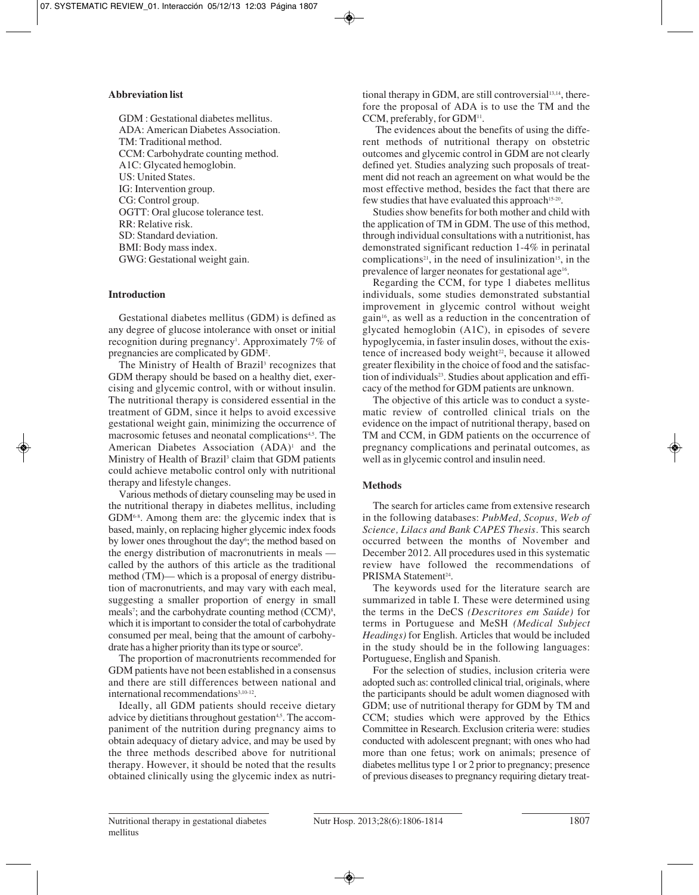## **Abbreviation list**

GDM : Gestational diabetes mellitus. ADA: American Diabetes Association. TM: Traditional method. CCM: Carbohydrate counting method. A1C: Glycated hemoglobin. US: United States. IG: Intervention group. CG: Control group. OGTT: Oral glucose tolerance test. RR: Relative risk. SD: Standard deviation. BMI: Body mass index. GWG: Gestational weight gain.

# **Introduction**

Gestational diabetes mellitus (GDM) is defined as any degree of glucose intolerance with onset or initial recognition during pregnancy<sup>1</sup>. Approximately 7% of pregnancies are complicated by GDM2 .

The Ministry of Health of Brazil<sup>3</sup> recognizes that GDM therapy should be based on a healthy diet, exercising and glycemic control, with or without insulin. The nutritional therapy is considered essential in the treatment of GDM, since it helps to avoid excessive gestational weight gain, minimizing the occurrence of macrosomic fetuses and neonatal complications<sup>4,5</sup>. The American Diabetes Association (ADA)<sup>1</sup> and the Ministry of Health of Brazil<sup>3</sup> claim that GDM patients could achieve metabolic control only with nutritional therapy and lifestyle changes.

Various methods of dietary counseling may be used in the nutritional therapy in diabetes mellitus, including GDM6-8. Among them are: the glycemic index that is based, mainly, on replacing higher glycemic index foods by lower ones throughout the day<sup>6</sup>; the method based on the energy distribution of macronutrients in meals called by the authors of this article as the traditional method (TM)— which is a proposal of energy distribution of macronutrients, and may vary with each meal, suggesting a smaller proportion of energy in small meals<sup>7</sup>; and the carbohydrate counting method (CCM)<sup>8</sup>, which it is important to consider the total of carbohydrate consumed per meal, being that the amount of carbohydrate has a higher priority than its type or source<sup>9</sup>.

The proportion of macronutrients recommended for GDM patients have not been established in a consensus and there are still differences between national and international recommendations<sup>3,10-12</sup>.

Ideally, all GDM patients should receive dietary advice by dietitians throughout gestation<sup>4,5</sup>. The accompaniment of the nutrition during pregnancy aims to obtain adequacy of dietary advice, and may be used by the three methods described above for nutritional therapy. However, it should be noted that the results obtained clinically using the glycemic index as nutritional therapy in GDM, are still controversial<sup>13,14</sup>, therefore the proposal of ADA is to use the TM and the CCM, preferably, for GDM<sup>11</sup>.

The evidences about the benefits of using the different methods of nutritional therapy on obstetric outcomes and glycemic control in GDM are not clearly defined yet. Studies analyzing such proposals of treatment did not reach an agreement on what would be the most effective method, besides the fact that there are few studies that have evaluated this approach<sup>15-20</sup>.

Studies show benefits for both mother and child with the application of TM in GDM. The use of this method, through individual consultations with a nutritionist, has demonstrated significant reduction 1-4% in perinatal complications<sup>21</sup>, in the need of insulinization<sup>15</sup>, in the prevalence of larger neonates for gestational age<sup>16</sup>.

Regarding the CCM, for type 1 diabetes mellitus individuals, some studies demonstrated substantial improvement in glycemic control without weight gain16, as well as a reduction in the concentration of glycated hemoglobin (A1C), in episodes of severe hypoglycemia, in faster insulin doses, without the existence of increased body weight $2<sup>2</sup>$ , because it allowed greater flexibility in the choice of food and the satisfaction of individuals<sup>23</sup>. Studies about application and efficacy of the method for GDM patients are unknown.

The objective of this article was to conduct a systematic review of controlled clinical trials on the evidence on the impact of nutritional therapy, based on TM and CCM, in GDM patients on the occurrence of pregnancy complications and perinatal outcomes, as well as in glycemic control and insulin need.

# **Methods**

The search for articles came from extensive research in the following databases: *PubMed, Scopus, Web of Science, Lilacs and Bank CAPES Thesis.* This search occurred between the months of November and December 2012. All procedures used in this systematic review have followed the recommendations of PRISMA Statement<sup>24</sup>.

The keywords used for the literature search are summarized in table I. These were determined using the terms in the DeCS *(Descritores em Saúde)* for terms in Portuguese and MeSH *(Medical Subject Headings)* for English. Articles that would be included in the study should be in the following languages: Portuguese, English and Spanish.

For the selection of studies, inclusion criteria were adopted such as: controlled clinical trial, originals, where the participants should be adult women diagnosed with GDM; use of nutritional therapy for GDM by TM and CCM; studies which were approved by the Ethics Committee in Research. Exclusion criteria were: studies conducted with adolescent pregnant; with ones who had more than one fetus; work on animals; presence of diabetes mellitus type 1 or 2 prior to pregnancy; presence of previous diseases to pregnancy requiring dietary treat-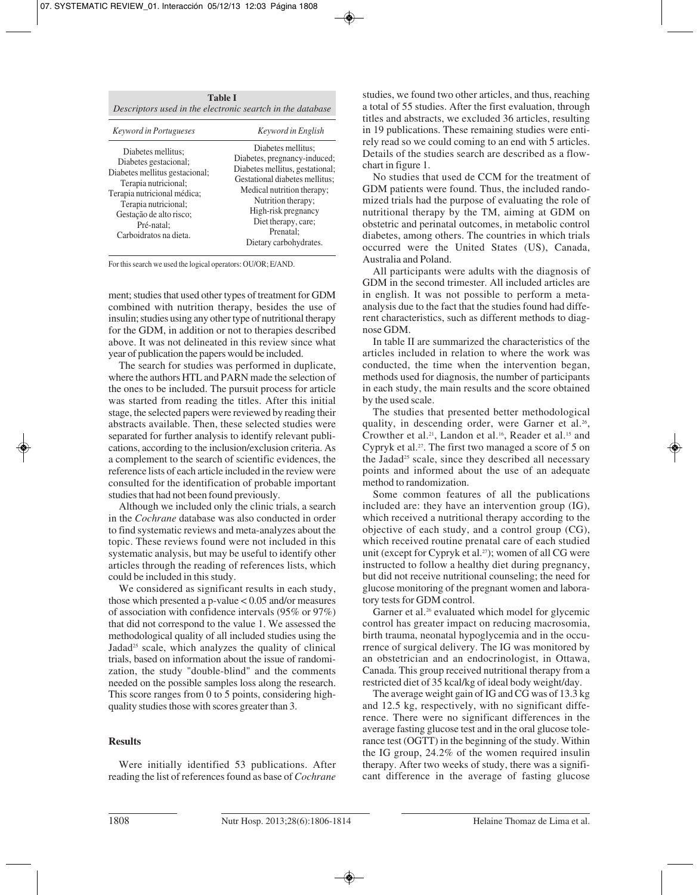| <b>Table I</b> |          |                                                            |  |                   |  |  |  |  |  |  |
|----------------|----------|------------------------------------------------------------|--|-------------------|--|--|--|--|--|--|
|                |          | Descriptors used in the electronic seartch in the database |  |                   |  |  |  |  |  |  |
|                | $\cdots$ |                                                            |  | $\cdots$ $\cdots$ |  |  |  |  |  |  |

| <i>Keyword in Portugueses</i>                                                                                                                                                                                                   | Keyword in English                                                                                                                                                                                                                                               |
|---------------------------------------------------------------------------------------------------------------------------------------------------------------------------------------------------------------------------------|------------------------------------------------------------------------------------------------------------------------------------------------------------------------------------------------------------------------------------------------------------------|
| Diabetes mellitus;<br>Diabetes gestacional;<br>Diabetes mellitus gestacional;<br>Terapia nutricional;<br>Terapia nutricional médica;<br>Terapia nutricional;<br>Gestação de alto risco;<br>Pré-natal:<br>Carboidratos na dieta. | Diabetes mellitus;<br>Diabetes, pregnancy-induced;<br>Diabetes mellitus, gestational;<br>Gestational diabetes mellitus;<br>Medical nutrition therapy;<br>Nutrition therapy;<br>High-risk pregnancy<br>Diet therapy, care;<br>Prenatal:<br>Dietary carbohydrates. |

For this search we used the logical operators: OU/OR; E/AND.

ment; studies that used other types of treatment for GDM combined with nutrition therapy, besides the use of insulin; studies using any other type of nutritional therapy for the GDM, in addition or not to therapies described above. It was not delineated in this review since what year of publication the papers would be included.

The search for studies was performed in duplicate, where the authors HTL and PARN made the selection of the ones to be included. The pursuit process for article was started from reading the titles. After this initial stage, the selected papers were reviewed by reading their abstracts available. Then, these selected studies were separated for further analysis to identify relevant publications, according to the inclusion/exclusion criteria. As a complement to the search of scientific evidences, the reference lists of each article included in the review were consulted for the identification of probable important studies that had not been found previously.

Although we included only the clinic trials, a search in the *Cochrane* database was also conducted in order to find systematic reviews and meta-analyzes about the topic. These reviews found were not included in this systematic analysis, but may be useful to identify other articles through the reading of references lists, which could be included in this study.

We considered as significant results in each study, those which presented a p-value < 0.05 and/or measures of association with confidence intervals (95% or 97%) that did not correspond to the value 1. We assessed the methodological quality of all included studies using the Jadad<sup>25</sup> scale, which analyzes the quality of clinical trials, based on information about the issue of randomization, the study "double-blind" and the comments needed on the possible samples loss along the research. This score ranges from 0 to 5 points, considering highquality studies those with scores greater than 3.

## **Results**

Were initially identified 53 publications. After reading the list of references found as base of *Cochrane* studies, we found two other articles, and thus, reaching a total of 55 studies. After the first evaluation, through titles and abstracts, we excluded 36 articles, resulting in 19 publications. These remaining studies were entirely read so we could coming to an end with 5 articles. Details of the studies search are described as a flowchart in figure 1.

No studies that used de CCM for the treatment of GDM patients were found. Thus, the included randomized trials had the purpose of evaluating the role of nutritional therapy by the TM, aiming at GDM on obstetric and perinatal outcomes, in metabolic control diabetes, among others. The countries in which trials occurred were the United States (US), Canada, Australia and Poland.

All participants were adults with the diagnosis of GDM in the second trimester. All included articles are in english. It was not possible to perform a metaanalysis due to the fact that the studies found had different characteristics, such as different methods to diagnose GDM.

In table II are summarized the characteristics of the articles included in relation to where the work was conducted, the time when the intervention began, methods used for diagnosis, the number of participants in each study, the main results and the score obtained by the used scale.

The studies that presented better methodological quality, in descending order, were Garner et al.<sup>26</sup>, Crowther et al.<sup>21</sup>, Landon et al.<sup>16</sup>, Reader et al.<sup>15</sup> and Cypryk et al.27. The first two managed a score of 5 on the Jadad25 scale, since they described all necessary points and informed about the use of an adequate method to randomization.

Some common features of all the publications included are: they have an intervention group (IG), which received a nutritional therapy according to the objective of each study, and a control group (CG), which received routine prenatal care of each studied unit (except for Cypryk et al.<sup>27</sup>); women of all CG were instructed to follow a healthy diet during pregnancy, but did not receive nutritional counseling; the need for glucose monitoring of the pregnant women and laboratory tests for GDM control.

Garner et al.<sup>26</sup> evaluated which model for glycemic control has greater impact on reducing macrosomia, birth trauma, neonatal hypoglycemia and in the occurrence of surgical delivery. The IG was monitored by an obstetrician and an endocrinologist, in Ottawa, Canada. This group received nutritional therapy from a restricted diet of 35 kcal/kg of ideal body weight/day.

The average weight gain of IG and CG was of 13.3 kg and 12.5 kg, respectively, with no significant difference. There were no significant differences in the average fasting glucose test and in the oral glucose tolerance test (OGTT) in the beginning of the study. Within the IG group, 24.2% of the women required insulin therapy. After two weeks of study, there was a significant difference in the average of fasting glucose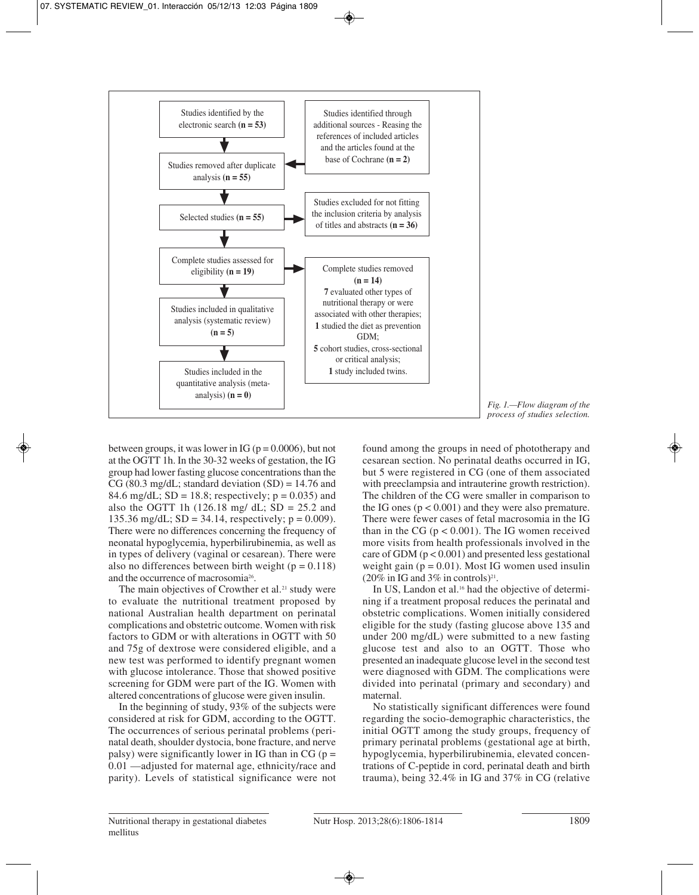

*Fig. 1.—Flow diagram of the process of studies selection.*

between groups, it was lower in IG ( $p = 0.0006$ ), but not at the OGTT 1h. In the 30-32 weeks of gestation, the IG group had lower fasting glucose concentrations than the CG (80.3 mg/dL; standard deviation  $(SD) = 14.76$  and 84.6 mg/dL;  $SD = 18.8$ ; respectively;  $p = 0.035$ ) and also the OGTT 1h  $(126.18 \text{ mg}/ \text{ dL}; SD = 25.2 \text{ and }$ 135.36 mg/dL;  $SD = 34.14$ , respectively;  $p = 0.009$ ). There were no differences concerning the frequency of neonatal hypoglycemia, hyperbilirubinemia, as well as in types of delivery (vaginal or cesarean). There were also no differences between birth weight ( $p = 0.118$ ) and the occurrence of macrosomia26.

The main objectives of Crowther et al.<sup>21</sup> study were to evaluate the nutritional treatment proposed by national Australian health department on perinatal complications and obstetric outcome. Women with risk factors to GDM or with alterations in OGTT with 50 and 75g of dextrose were considered eligible, and a new test was performed to identify pregnant women with glucose intolerance. Those that showed positive screening for GDM were part of the IG. Women with altered concentrations of glucose were given insulin.

In the beginning of study, 93% of the subjects were considered at risk for GDM, according to the OGTT. The occurrences of serious perinatal problems (perinatal death, shoulder dystocia, bone fracture, and nerve palsy) were significantly lower in IG than in  $CG (p =$ 0.01 —adjusted for maternal age, ethnicity/race and parity). Levels of statistical significance were not

found among the groups in need of phototherapy and cesarean section. No perinatal deaths occurred in IG, but 5 were registered in CG (one of them associated with preeclampsia and intrauterine growth restriction). The children of the CG were smaller in comparison to the IG ones  $(p < 0.001)$  and they were also premature. There were fewer cases of fetal macrosomia in the IG than in the CG ( $p < 0.001$ ). The IG women received more visits from health professionals involved in the care of GDM ( $p < 0.001$ ) and presented less gestational weight gain ( $p = 0.01$ ). Most IG women used insulin  $(20\% \text{ in IG and } 3\% \text{ in controls})^{21}$ .

In US, Landon et al.<sup>16</sup> had the objective of determining if a treatment proposal reduces the perinatal and obstetric complications. Women initially considered eligible for the study (fasting glucose above 135 and under 200 mg/dL) were submitted to a new fasting glucose test and also to an OGTT. Those who presented an inadequate glucose level in the second test were diagnosed with GDM. The complications were divided into perinatal (primary and secondary) and maternal.

No statistically significant differences were found regarding the socio-demographic characteristics, the initial OGTT among the study groups, frequency of primary perinatal problems (gestational age at birth, hypoglycemia, hyperbilirubinemia, elevated concentrations of C-peptide in cord, perinatal death and birth trauma), being 32.4% in IG and 37% in CG (relative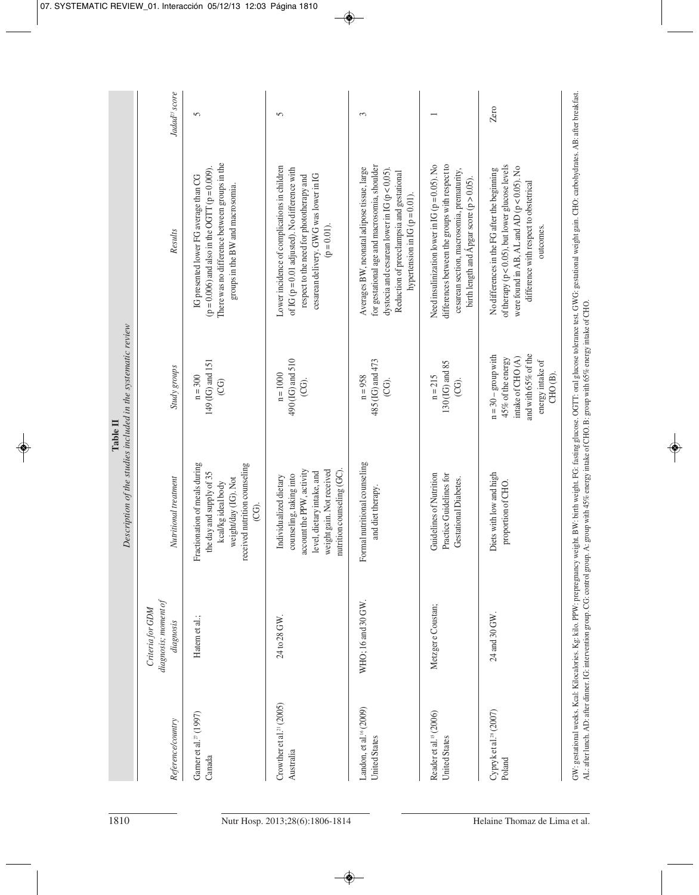| Jadad <sup>25</sup> score                              | 5                                                                                                                                                                                   | 5                                                                                                                                                                                                      | 3                                                                                                                                                                                                                                   |                                                                                                                                                                                               | Zero                                                                                                                                                                                                         |
|--------------------------------------------------------|-------------------------------------------------------------------------------------------------------------------------------------------------------------------------------------|--------------------------------------------------------------------------------------------------------------------------------------------------------------------------------------------------------|-------------------------------------------------------------------------------------------------------------------------------------------------------------------------------------------------------------------------------------|-----------------------------------------------------------------------------------------------------------------------------------------------------------------------------------------------|--------------------------------------------------------------------------------------------------------------------------------------------------------------------------------------------------------------|
| Results                                                | There was no difference between groups in the<br>( $p = 0.006$ ) and also in the OGTT ( $p = 0.009$ ).<br>IG presented lower FG average than CG<br>groups in the BW and macrosomia. | Lower incidence of complications in children<br>of IG ( $p = 0.01$ adjusted). No difference with<br>cesarean delivery. GWG was lower in IG<br>respect to the need for phototherapy and<br>$(p=0.01)$ . | for gestational age and macrosomia, shoulder<br>Averages BW, neonatal adipose tissue, large<br>dystocia and cesarean lower in IG ( $p < 0,05$ ).<br>Reduction of preeclampsia and gestational<br>hypertension in IG ( $p = 0.01$ ). | differences between the groups with respect to<br>Need insulinization lower in IG ( $p = 0.05$ ). No<br>cesarean section, macrosomia, prematurity,<br>birth length and Ápgar score (p > 0.05) | of therapy ( $p < 0.05$ ), but lower glucose levels<br>were found in AB, AL and AD ( $p < 0.05$ ). No<br>No differences in the FG after the beginning<br>difference with respect to obstetrical<br>outcomes. |
| Study groups                                           | 149 (IG) and 151<br>$n = 300$<br>$\overline{C}$ G)                                                                                                                                  | 490 (IG) and 510<br>$n = 10000$<br>(CG).                                                                                                                                                               | 485 (IG) and 473<br>$n = 958$<br>CG).                                                                                                                                                                                               | 130 <sub>(IG)</sub> and 85<br>$n = 215$<br>(CG).                                                                                                                                              | and with 65% of the<br>$n = 30 -$ group with<br>45% of the energy<br>intake of CHO(A)<br>energy intake of<br>CHO <sub>(B)</sub>                                                                              |
| Nutritional treatment                                  | Fractionation of meals during<br>received nutrition counseling<br>the day and supply of 35<br>weight/day (IG). Not<br>kcal/kgidealbody<br>CG).                                      | account the PPW, activity<br>weight gain. Not received<br>nutrition counseling (GC)<br>level, dietary intake, and<br>counseling, taking into<br>Individualized dietary                                 | Formal nutritional counseling<br>and diet therapy.                                                                                                                                                                                  | Guidelines of Nutrition<br>Practice Guidelines for<br>Gestational Diabetes.                                                                                                                   | Diets with low and high<br>proportion of CHO.                                                                                                                                                                |
| diagonosis; moment of<br>Criteria for GDM<br>diagnosis | Hatem et al.;                                                                                                                                                                       | 24 to 28 GW.                                                                                                                                                                                           | WHO; 16 and 30 GW.                                                                                                                                                                                                                  | Metzger e Coustan;                                                                                                                                                                            | 24 and 30 GW.                                                                                                                                                                                                |
| Reference/country                                      | Garner et al. <sup>27</sup> (1997)<br>Canada                                                                                                                                        | Crowther et al. <sup>21</sup> $(2005)$<br>Australia                                                                                                                                                    | Landon, et al. <sup>16</sup> (2009)<br><b>United States</b>                                                                                                                                                                         | Reader et al. <sup>15</sup> (2006)<br><b>United States</b>                                                                                                                                    | Cypryk et al. <sup>28</sup> (2007)<br>Poland                                                                                                                                                                 |
|                                                        |                                                                                                                                                                                     |                                                                                                                                                                                                        |                                                                                                                                                                                                                                     |                                                                                                                                                                                               |                                                                                                                                                                                                              |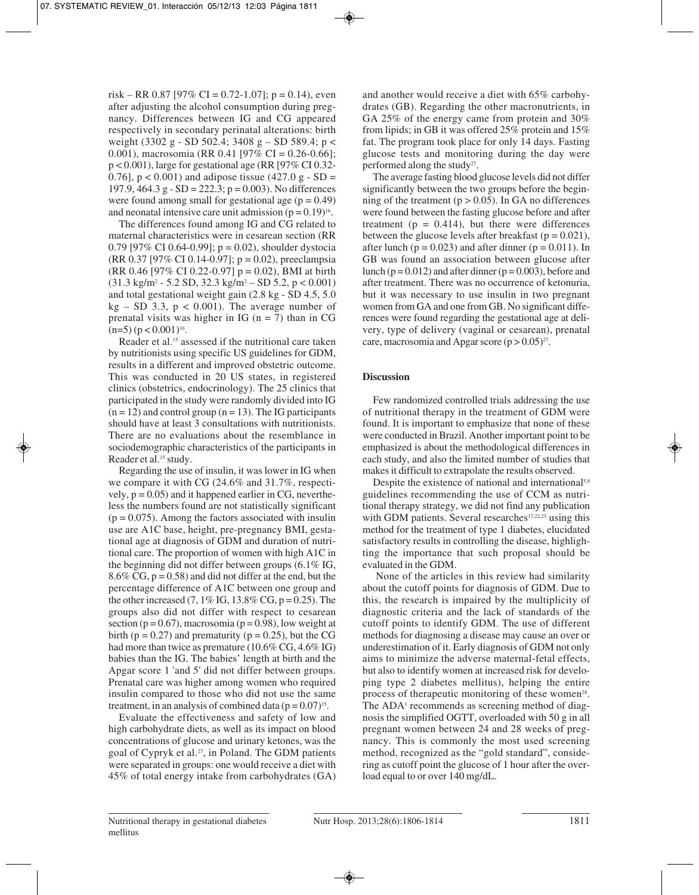risk – RR 0.87 [97% CI = 0.72-1.07]; p = 0.14), even after adjusting the alcohol consumption during pregnancy. Differences between IG and CG appeared respectively in secondary perinatal alterations: birth weight (3302 g - SD 502.4; 3408 g – SD 589.4; p < 0.001), macrosomia (RR 0.41 [97% CI = 0.26-0.66]; p < 0.001), large for gestational age (RR [97% CI 0.32- 0.76],  $p < 0.001$  and adipose tissue (427.0 g - SD = 197.9, 464.3 g - SD = 222.3; p = 0.003). No differences were found among small for gestational age  $(p = 0.49)$ and neonatal intensive care unit admission  $(p = 0.19)^{16}$ .

The differences found among IG and CG related to maternal characteristics were in cesarean section (RR 0.79 [97% CI 0.64-0.99];  $p = 0.02$ ), shoulder dystocia (RR 0.37 [97% CI 0.14-0.97]; p = 0.02), preeclampsia (RR 0.46 [97% CI 0.22-0.97] p = 0.02), BMI at birth  $(31.3 \text{ kg/m}^2 - 5.2 \text{ SD}, 32.3 \text{ kg/m}^2 - \text{SD} 5.2, p < 0.001)$ and total gestational weight gain (2.8 kg - SD 4.5, 5.0  $kg - SD$  3.3,  $p < 0.001$ ). The average number of prenatal visits was higher in IG ( $n = 7$ ) than in CG  $(n=5)$  (p < 0.001)<sup>16</sup>.

Reader et al.15 assessed if the nutritional care taken by nutritionists using specific US guidelines for GDM, results in a different and improved obstetric outcome. This was conducted in 20 US states, in registered clinics (obstetrics, endocrinology). The 25 clinics that participated in the study were randomly divided into IG  $(n = 12)$  and control group  $(n = 13)$ . The IG participants should have at least 3 consultations with nutritionists. There are no evaluations about the resemblance in sociodemographic characteristics of the participants in Reader et al.<sup>15</sup> study.

Regarding the use of insulin, it was lower in IG when we compare it with CG (24.6% and 31.7%, respectively,  $p = 0.05$ ) and it happened earlier in CG, nevertheless the numbers found are not statistically significant  $(p = 0.075)$ . Among the factors associated with insulin use are A1C base, height, pre-pregnancy BMI, gestational age at diagnosis of GDM and duration of nutritional care. The proportion of women with high A1C in the beginning did not differ between groups (6.1% IG, 8.6% CG,  $p = 0.58$ ) and did not differ at the end, but the percentage difference of A1C between one group and the other increased  $(7, 1\% \text{ IG}, 13.8\% \text{ CG}, \text{p} = 0.25)$ . The groups also did not differ with respect to cesarean section ( $p = 0.67$ ), macrosomia ( $p = 0.98$ ), low weight at birth ( $p = 0.27$ ) and prematurity ( $p = 0.25$ ), but the CG had more than twice as premature (10.6% CG, 4.6% IG) babies than the IG. The babies' length at birth and the Apgar score 1 'and 5' did not differ between groups. Prenatal care was higher among women who required insulin compared to those who did not use the same treatment, in an analysis of combined data  $(p = 0.07)^{15}$ .

Evaluate the effectiveness and safety of low and high carbohydrate diets, as well as its impact on blood concentrations of glucose and urinary ketones, was the goal of Cypryk et al.<sup>27</sup>, in Poland. The GDM patients were separated in groups: one would receive a diet with 45% of total energy intake from carbohydrates (GA) and another would receive a diet with 65% carbohydrates (GB). Regarding the other macronutrients, in GA 25% of the energy came from protein and 30% from lipids; in GB it was offered 25% protein and 15% fat. The program took place for only 14 days. Fasting glucose tests and monitoring during the day were performed along the study<sup>27</sup>.

The average fasting blood glucose levels did not differ significantly between the two groups before the beginning of the treatment ( $p > 0.05$ ). In GA no differences were found between the fasting glucose before and after treatment ( $p = 0.414$ ), but there were differences between the glucose levels after breakfast ( $p = 0.021$ ), after lunch ( $p = 0.023$ ) and after dinner ( $p = 0.011$ ). In GB was found an association between glucose after lunch ( $p = 0.012$ ) and after dinner ( $p = 0.003$ ), before and after treatment. There was no occurrence of ketonuria, but it was necessary to use insulin in two pregnant women from GA and one from GB. No significant differences were found regarding the gestational age at delivery, type of delivery (vaginal or cesarean), prenatal care, macrosomia and Apgar score  $(p > 0.05)^{27}$ .

## **Discussion**

Few randomized controlled trials addressing the use of nutritional therapy in the treatment of GDM were found. It is important to emphasize that none of these were conducted in Brazil. Another important point to be emphasized is about the methodological differences in each study, and also the limited number of studies that makes it difficult to extrapolate the results observed.

Despite the existence of national and international<sup>5,8</sup> guidelines recommending the use of CCM as nutritional therapy strategy, we did not find any publication with GDM patients. Several researches<sup>17,22,23</sup> using this method for the treatment of type 1 diabetes, elucidated satisfactory results in controlling the disease, highlighting the importance that such proposal should be evaluated in the GDM.

None of the articles in this review had similarity about the cutoff points for diagnosis of GDM. Due to this, the research is impaired by the multiplicity of diagnostic criteria and the lack of standards of the cutoff points to identify GDM. The use of different methods for diagnosing a disease may cause an over or underestimation of it. Early diagnosis of GDM not only aims to minimize the adverse maternal-fetal effects, but also to identify women at increased risk for developing type 2 diabetes mellitus), helping the entire process of therapeutic monitoring of these women<sup>28</sup>. The ADA<sup>1</sup> recommends as screening method of diagnosis the simplified OGTT, overloaded with 50 g in all pregnant women between 24 and 28 weeks of pregnancy. This is commonly the most used screening method, recognized as the "gold standard", considering as cutoff point the glucose of 1 hour after the overload equal to or over 140 mg/dL.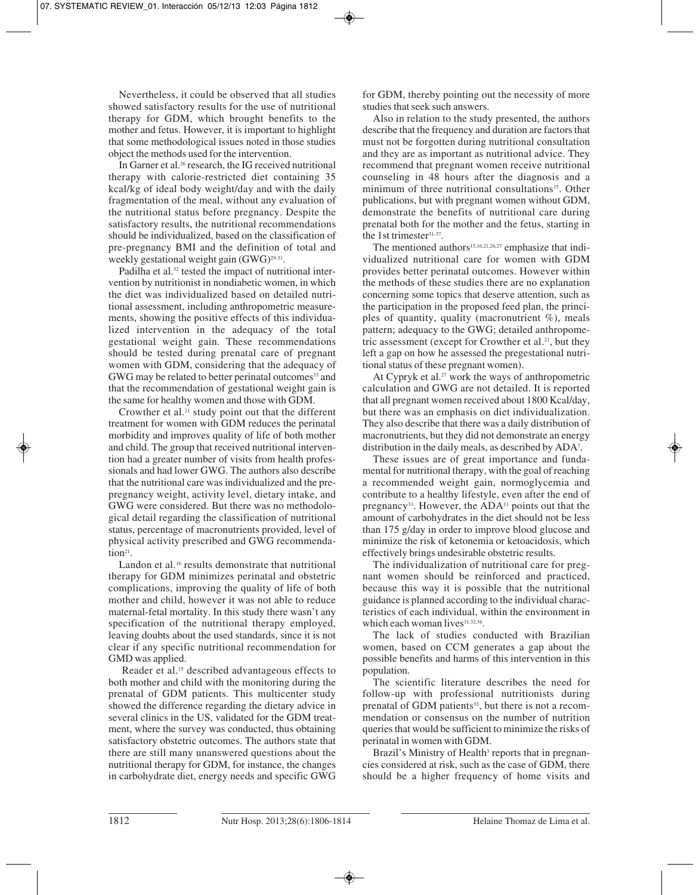Nevertheless, it could be observed that all studies showed satisfactory results for the use of nutritional therapy for GDM, which brought benefits to the mother and fetus. However, it is important to highlight that some methodological issues noted in those studies object the methods used for the intervention.

In Garner et al.<sup>26</sup> research, the IG received nutritional therapy with calorie-restricted diet containing 35 kcal/kg of ideal body weight/day and with the daily fragmentation of the meal, without any evaluation of the nutritional status before pregnancy. Despite the satisfactory results, the nutritional recommendations should be individualized, based on the classification of pre-pregnancy BMI and the definition of total and weekly gestational weight gain (GWG)<sup>29-31</sup>.

Padilha et al.<sup>32</sup> tested the impact of nutritional intervention by nutritionist in nondiabetic women, in which the diet was individualized based on detailed nutritional assessment, including anthropometric measurements, showing the positive effects of this individualized intervention in the adequacy of the total gestational weight gain. These recommendations should be tested during prenatal care of pregnant women with GDM, considering that the adequacy of GWG may be related to better perinatal outcomes<sup>33</sup> and that the recommendation of gestational weight gain is the same for healthy women and those with GDM.

Crowther et al.<sup>21</sup> study point out that the different treatment for women with GDM reduces the perinatal morbidity and improves quality of life of both mother and child. The group that received nutritional intervention had a greater number of visits from health professionals and had lower GWG. The authors also describe that the nutritional care was individualized and the prepregnancy weight, activity level, dietary intake, and GWG were considered. But there was no methodological detail regarding the classification of nutritional status, percentage of macronutrients provided, level of physical activity prescribed and GWG recommendation<sup>21</sup>.

Landon et al.<sup>16</sup> results demonstrate that nutritional therapy for GDM minimizes perinatal and obstetric complications, improving the quality of life of both mother and child, however it was not able to reduce maternal-fetal mortality. In this study there wasn't any specification of the nutritional therapy employed, leaving doubts about the used standards, since it is not clear if any specific nutritional recommendation for GMD was applied.

Reader et al.15 described advantageous effects to both mother and child with the monitoring during the prenatal of GDM patients. This multicenter study showed the difference regarding the dietary advice in several clinics in the US, validated for the GDM treatment, where the survey was conducted, thus obtaining satisfactory obstetric outcomes. The authors state that there are still many unanswered questions about the nutritional therapy for GDM, for instance, the changes in carbohydrate diet, energy needs and specific GWG

for GDM, thereby pointing out the necessity of more studies that seek such answers.

Also in relation to the study presented, the authors describe that the frequency and duration are factors that must not be forgotten during nutritional consultation and they are as important as nutritional advice. They recommend that pregnant women receive nutritional counseling in 48 hours after the diagnosis and a minimum of three nutritional consultations<sup>15</sup>. Other publications, but with pregnant women without GDM, demonstrate the benefits of nutritional care during prenatal both for the mother and the fetus, starting in the 1st trimester<sup>31-37</sup>.

The mentioned authors<sup>15,16,21,26,27</sup> emphasize that individualized nutritional care for women with GDM provides better perinatal outcomes. However within the methods of these studies there are no explanation concerning some topics that deserve attention, such as the participation in the proposed feed plan, the principles of quantity, quality (macronutrient %), meals pattern; adequacy to the GWG; detailed anthropometric assessment (except for Crowther et al.<sup>21</sup>, but they left a gap on how he assessed the pregestational nutritional status of these pregnant women).

At Cypryk et al.<sup>27</sup> work the ways of anthropometric calculation and GWG are not detailed. It is reported that all pregnant women received about 1800 Kcal/day, but there was an emphasis on diet individualization. They also describe that there was a daily distribution of macronutrients, but they did not demonstrate an energy distribution in the daily meals, as described by ADA7 .

These issues are of great importance and fundamental for nutritional therapy, with the goal of reaching a recommended weight gain, normoglycemia and contribute to a healthy lifestyle, even after the end of pregnancy<sup>31</sup>. However, the ADA<sup>11</sup> points out that the amount of carbohydrates in the diet should not be less than 175 g/day in order to improve blood glucose and minimize the risk of ketonemia or ketoacidosis, which effectively brings undesirable obstetric results.

The individualization of nutritional care for pregnant women should be reinforced and practiced, because this way it is possible that the nutritional guidance is planned according to the individual characteristics of each individual, within the environment in which each woman lives<sup>31,32,36</sup>.

The lack of studies conducted with Brazilian women, based on CCM generates a gap about the possible benefits and harms of this intervention in this population.

The scientific literature describes the need for follow-up with professional nutritionists during prenatal of GDM patients<sup>33</sup>, but there is not a recommendation or consensus on the number of nutrition queries that would be sufficient to minimize the risks of perinatal in women with GDM.

Brazil's Ministry of Health<sup>3</sup> reports that in pregnancies considered at risk, such as the case of GDM, there should be a higher frequency of home visits and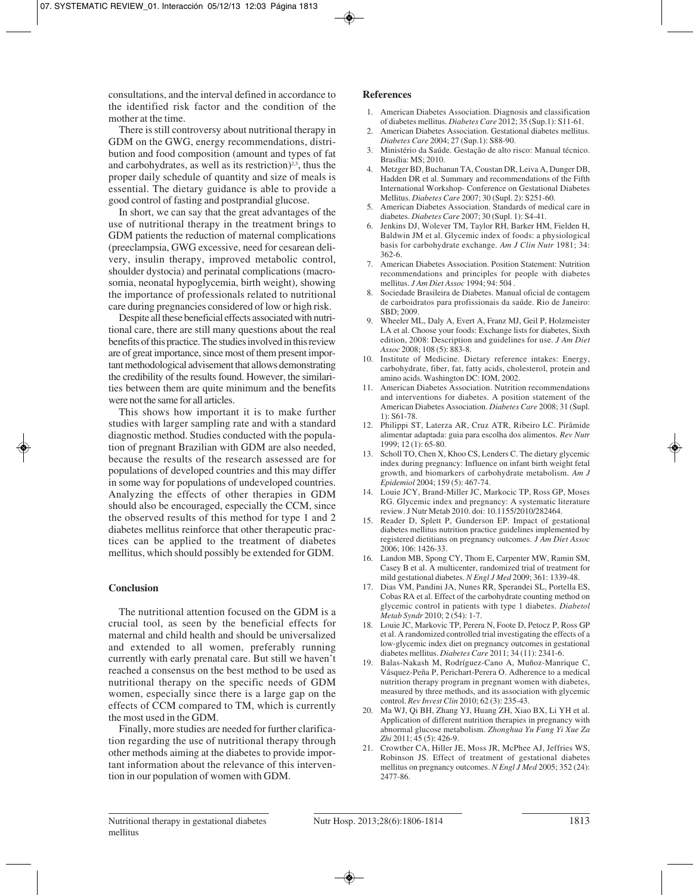consultations, and the interval defined in accordance to the identified risk factor and the condition of the mother at the time.

There is still controversy about nutritional therapy in GDM on the GWG, energy recommendations, distribution and food composition (amount and types of fat and carbohydrates, as well as its restriction) $2<sup>3</sup>$ , thus the proper daily schedule of quantity and size of meals is essential. The dietary guidance is able to provide a good control of fasting and postprandial glucose.

In short, we can say that the great advantages of the use of nutritional therapy in the treatment brings to GDM patients the reduction of maternal complications (preeclampsia, GWG excessive, need for cesarean delivery, insulin therapy, improved metabolic control, shoulder dystocia) and perinatal complications (macrosomia, neonatal hypoglycemia, birth weight), showing the importance of professionals related to nutritional care during pregnancies considered of low or high risk.

Despite all these beneficial effects associated with nutritional care, there are still many questions about the real benefits of this practice. The studies involved in this review are of great importance, since most of them present important methodological advisement that allows demonstrating the credibility of the results found. However, the similarities between them are quite minimum and the benefits were not the same for all articles.

This shows how important it is to make further studies with larger sampling rate and with a standard diagnostic method. Studies conducted with the population of pregnant Brazilian with GDM are also needed, because the results of the research assessed are for populations of developed countries and this may differ in some way for populations of undeveloped countries. Analyzing the effects of other therapies in GDM should also be encouraged, especially the CCM, since the observed results of this method for type 1 and 2 diabetes mellitus reinforce that other therapeutic practices can be applied to the treatment of diabetes mellitus, which should possibly be extended for GDM.

## **Conclusion**

The nutritional attention focused on the GDM is a crucial tool, as seen by the beneficial effects for maternal and child health and should be universalized and extended to all women, preferably running currently with early prenatal care. But still we haven't reached a consensus on the best method to be used as nutritional therapy on the specific needs of GDM women, especially since there is a large gap on the effects of CCM compared to TM, which is currently the most used in the GDM.

Finally, more studies are needed for further clarification regarding the use of nutritional therapy through other methods aiming at the diabetes to provide important information about the relevance of this intervention in our population of women with GDM.

## **References**

- 1. American Diabetes Association. Diagnosis and classification of diabetes mellitus. *Diabetes Care* 2012; 35 (Sup.1): S11-61.
- 2. American Diabetes Association. Gestational diabetes mellitus. *Diabetes Care* 2004; 27 (Sup.1): S88-90.
- 3. Ministério da Saúde. Gestação de alto risco: Manual técnico. Brasília: MS; 2010.
- 4. Metzger BD, Buchanan TA, Coustan DR, Leiva A, Dunger DB, Hadden DR et al. Summary and recommendations of the Fifth International Workshop- Conference on Gestational Diabetes Mellitus. *Diabetes Care* 2007; 30 (Supl. 2): S251-60.
- 5. American Diabetes Association. Standards of medical care in diabetes. *Diabetes Care* 2007; 30 (Supl. 1): S4-41.
- 6. Jenkins DJ, Wolever TM, Taylor RH, Barker HM, Fielden H, Baldwin JM et al. Glycemic index of foods: a physiological basis for carbohydrate exchange. *Am J Clin Nutr* 1981; 34: 362-6.
- 7. American Diabetes Association. Position Statement: Nutrition recommendations and principles for people with diabetes mellitus. *J Am Diet Assoc* 1994; 94: 504 .
- 8. Sociedade Brasileira de Diabetes. Manual oficial de contagem de carboidratos para profissionais da saúde. Rio de Janeiro: SBD; 2009.
- 9. Wheeler ML, Daly A, Evert A, Franz MJ, Geil P, Holzmeister LA et al. Choose your foods: Exchange lists for diabetes, Sixth edition, 2008: Description and guidelines for use. *J Am Diet Assoc* 2008; 108 (5): 883-8.
- 10. Institute of Medicine. Dietary reference intakes: Energy, carbohydrate, fiber, fat, fatty acids, cholesterol, protein and amino acids. Washington DC: IOM, 2002.
- 11. American Diabetes Association. Nutrition recommendations and interventions for diabetes. A position statement of the American Diabetes Association. *Diabetes Care* 2008; 31 (Supl. 1): S61-78.
- 12. Philippi ST, Laterza AR, Cruz ATR, Ribeiro LC. Pirâmide alimentar adaptada: guia para escolha dos alimentos. *Rev Nutr* 1999; 12 (1): 65-80.
- 13. Scholl TO, Chen X, Khoo CS, Lenders C. The dietary glycemic index during pregnancy: Influence on infant birth weight fetal growth, and biomarkers of carbohydrate metabolism. *Am J Epidemiol* 2004; 159 (5): 467-74.
- 14. Louie JCY, Brand-Miller JC, Markocic TP, Ross GP, Moses RG. Glycemic index and pregnancy: A systematic literature review. J Nutr Metab 2010. doi: 10.1155/2010/282464.
- 15. Reader D, Splett P, Gunderson EP. Impact of gestational diabetes mellitus nutrition practice guidelines implemented by registered dietitians on pregnancy outcomes. *J Am Diet Assoc* 2006; 106: 1426-33.
- 16. Landon MB, Spong CY, Thom E, Carpenter MW, Ramin SM, Casey B et al. A multicenter, randomized trial of treatment for mild gestational diabetes. *N Engl J Med* 2009; 361: 1339-48.
- 17. Dias VM, Pandini JA, Nunes RR, Sperandei SL, Portella ES, Cobas RA et al. Effect of the carbohydrate counting method on glycemic control in patients with type 1 diabetes. *Diabetol Metab Syndr* 2010; 2 (54): 1-7.
- 18. Louie JC, Markovic TP, Perera N, Foote D, Petocz P, Ross GP et al. A randomized controlled trial investigating the effects of a low-glycemic index diet on pregnancy outcomes in gestational diabetes mellitus. *Diabetes Care* 2011; 34 (11): 2341-6.
- 19. Balas-Nakash M, Rodríguez-Cano A, Muñoz-Manrique C, Vásquez-Peña P, Perichart-Perera O. Adherence to a medical nutrition therapy program in pregnant women with diabetes, measured by three methods, and its association with glycemic control. *Rev Invest Clin* 2010; 62 (3): 235-43.
- 20. Ma WJ, Qi BH, Zhang YJ, Huang ZH, Xiao BX, Li YH et al. Application of different nutrition therapies in pregnancy with abnormal glucose metabolism. *Zhonghua Yu Fang Yi Xue Za Zhi* 2011; 45 (5): 426-9.
- 21. Crowther CA, Hiller JE, Moss JR, McPhee AJ, Jeffries WS, Robinson JS. Effect of treatment of gestational diabetes mellitus on pregnancy outcomes. *N Engl J Med* 2005; 352 (24): 2477-86.